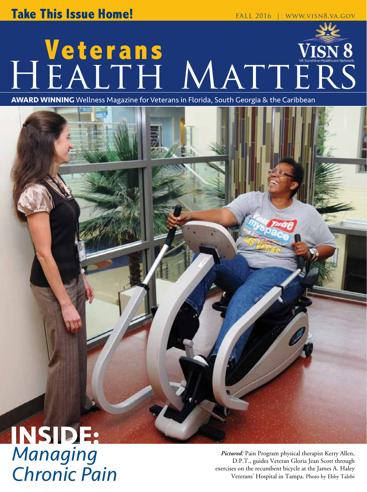## **Veterans** HEALTH MATTERS

**AWARD WINNING** Wellness Magazine for Veterans in Florida, South Georgia & the Caribbean

# **INSIDE:**

*Pictured:* Pain Program physical therapist Kerry Allen,<br>D.P.T., guides Veteran Gloria Jean Scott through<br>exercises on the recumbent bicycle at the James A. Haley D.P.T., guides Veteran Gloria Jean Scott through **Chronic Pain**<br>*Chronic Pain Chair Chronic Pain <sup>C</sup> Chronic Chair <sup>Veterans'</sup> Hospital in Tampa. Photo by Ebby Talebi*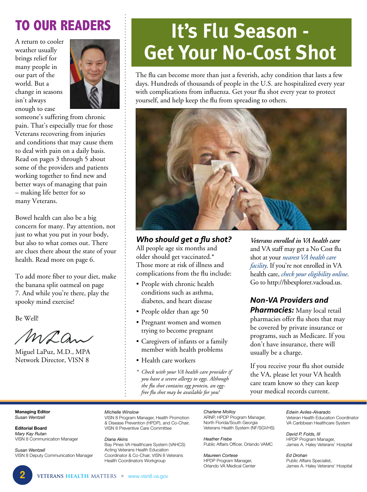### **TO OUR READERS**

A return to cooler weather usually brings relief for many people in our part of the world. But a change in seasons isn't always enough to ease



someone's suffering from chronic pain. That's especially true for those Veterans recovering from injuries and conditions that may cause them to deal with pain on a daily basis. Read on pages 3 through 5 about some of the providers and patients working together to find new and better ways of managing that pain – making life better for so many Veterans.

Bowel health can also be a big concern for many. Pay attention, not just to what you put in your body, but also to what comes out. There are clues there about the state of your health. Read more on page 6.

To add more fiber to your diet, make the banana split oatmeal on page 7. And while you're there, play the spooky mind exercise!

Be Well!

Maan

Miguel LaPuz, M.D., MPA Network Director, VISN 8

## **It's Flu Season - Get Your No-Cost Shot**

The flu can become more than just a feverish, achy condition that lasts a few days. Hundreds of thousands of people in the U.S. are hospitalized every year with complications from influenza. Get your flu shot every year to protect yourself, and help keep the flu from spreading to others.



#### *Who should get a flu shot?*

All people age six months and older should get vaccinated.\* Those more at risk of illness and complications from the flu include:

- People with chronic health conditions such as asthma, diabetes, and heart disease
- People older than age 50
- Pregnant women and women trying to become pregnant
- Caregivers of infants or a family member with health problems
- Health care workers
- *\* Check with your VA health care provider if you have a severe allergy to eggs. Although the flu shot contains egg protein, an eggfree flu shot may be available for you!*

*Veterans enrolled in VA health care*  and VA staff may get a No Cost flu shot at your *nearest VA health care facility*. If you're not enrolled in VA health care, *check your eligibility online*. Go to <http://hbexplorer.vacloud.us>.

*Non-VA Providers and* 

**Pharmacies:** Many local retail pharmacies offer flu shots that may be covered by private insurance or programs, such as Medicare. If you don't have insurance, there will usually be a charge.

If you receive your flu shot outside the VA, please let your VA health care team know so they can keep your medical records current.

#### **Managing Editor**  *Susan Wentzell*

**Editorial Board**  *Mary Kay Rutan*  VISN 8 Communication Manager

*Susan Wentzell*  VISN 8 Deputy Communication Manager

#### *Michelle Winslow*

VISN 8 Program Manager, Health Promotion & Disease Prevention (HPDP), and Co-Chair, VISN 8 Preventive Care Committee

*Diana Akins* 

Bay Pines VA Healthcare System (VAHCS) Acting Veterans Health Education Coordinator & Co-Chair, VISN 8 Veterans Health Coordinators Workgroup

*Charlene Molloy*  ARNP, HPDP Program Manager, North Florida/South Georgia Veterans Health System (NF/SGVHS)

*Heather Frebe*  Public Affairs Officer, Orlando VAMC

*Maureen Cortese*  HPDP Program Manager, Orlando VA Medical Center *Edwin Aviles-Alvarado*  Veteran Health Education Coordinator VA Caribbean Healthcare System

*David P. Folds, III*  HPDP Program Manager, James A. Haley Veterans' Hospital

*Ed Drohan*  Public Affairs Specialist, James A. Haley Veterans' Hospital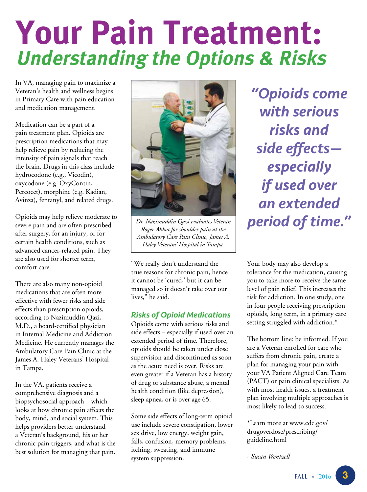## **Your Pain Treatment: Understanding the Options & Risks**

In VA, managing pain to maximize a Veteran's health and wellness begins in Primary Care with pain education and medication management.

Medication can be a part of a pain treatment plan. Opioids are prescription medications that may help relieve pain by reducing the intensity of pain signals that reach the brain. Drugs in this class include hydrocodone (e.g., Vicodin), oxycodone (e.g. OxyContin, Percocet), morphine (e.g. Kadian, Avinza), fentanyl, and related drugs.

Opioids may help relieve moderate to severe pain and are often prescribed after surgery, for an injury, or for certain health conditions, such as advanced cancer-related pain. They are also used for shorter term, comfort care.

There are also many non-opioid medications that are often more effective with fewer risks and side effects than prescription opioids, according to Nazimuddin Qazi, M.D., a board-certified physician in Internal Medicine and Addiction Medicine. He currently manages the Ambulatory Care Pain Clinic at the James A. Haley Veterans' Hospital in Tampa.

In the VA, patients receive a comprehensive diagnosis and a biopsychosocial approach – which looks at how chronic pain affects the body, mind, and social system. This helps providers better understand a Veteran's background, his or her chronic pain triggers, and what is the best solution for managing that pain.



*Dr. Nazimuddin Qazi evaluates Veteran Roger Abbot for shoulder pain at the Ambulatory Care Pain Clinic, James A. Haley Veterans' Hospital in Tampa.* 

"We really don't understand the true reasons for chronic pain, hence it cannot be 'cured,' but it can be managed so it doesn't take over our lives," he said.

#### *Risks of Opioid Medications*

Opioids come with serious risks and side effects – especially if used over an extended period of time. Therefore, opioids should be taken under close supervision and discontinued as soon as the acute need is over. Risks are even greater if a Veteran has a history of drug or substance abuse, a mental health condition (like depression), sleep apnea, or is over age 65.

Some side effects of long-term opioid use include severe constipation, lower sex drive, low energy, weight gain, falls, confusion, memory problems, itching, sweating, and immune system suppression.

*"Opioids come with serious risks and side effects especially if used over an extended period of time."* 

Your body may also develop a tolerance for the medication, causing you to take more to receive the same level of pain relief. This increases the risk for addiction. In one study, one in four people receiving prescription opioids, long term, in a primary care setting struggled with addiction.\*

The bottom line: be informed. If you are a Veteran enrolled for care who suffers from chronic pain, create a plan for managing your pain with your VA Patient Aligned Care Team (PACT) or pain clinical specialists. As with most health issues, a treatment plan involving multiple approaches is most likely to lead to success.

[\\*Learn more at www.cdc.gov/](http://www.cdc.gov/drugoverdose/prescribing/guideline.html) drugoverdose/prescribing/ guideline.html

*- Susan Wentzell*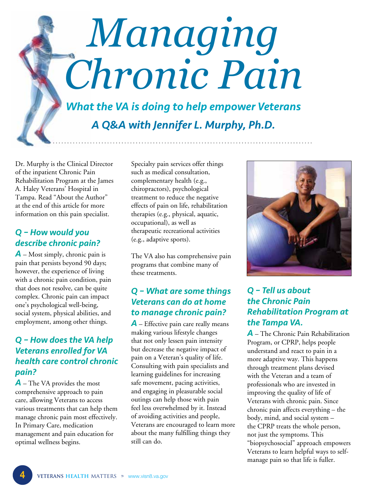## *Managing Chronic Pain*

*What the VA is doing to help empower Veterans A Q&A with Jennifer L. Murphy, Ph.D.* 

Dr. Murphy is the Clinical Director of the inpatient Chronic Pain Rehabilitation Program at the James A. Haley Veterans' Hospital in Tampa. Read "About the Author" at the end of this article for more information on this pain specialist.

#### *Q – How would you describe chronic pain?*

*A* – Most simply, chronic pain is pain that persists beyond 90 days; however, the experience of living with a chronic pain condition, pain that does not resolve, can be quite complex. Chronic pain can impact one's psychological well-being, social system, physical abilities, and employment, among other things.

#### *Q – How does the VA help Veterans enrolled for VA health care control chronic pain?*

*A* – The VA provides the most comprehensive approach to pain care, allowing Veterans to access various treatments that can help them manage chronic pain most effectively. In Primary Care, medication management and pain education for optimal wellness begins.

Specialty pain services offer things such as medical consultation, complementary health (e.g., chiropractors), psychological treatment to reduce the negative effects of pain on life, rehabilitation therapies (e.g., physical, aquatic, occupational), as well as therapeutic recreational activities (e.g., adaptive sports).

The VA also has comprehensive pain programs that combine many of these treatments.

#### *Q – What are some things Veterans can do at home to manage chronic pain?*

*A* – Effective pain care really means making various lifestyle changes that not only lessen pain intensity but decrease the negative impact of pain on a Veteran's quality of life. Consulting with pain specialists and learning guidelines for increasing safe movement, pacing activities, and engaging in pleasurable social outings can help those with pain feel less overwhelmed by it. Instead of avoiding activities and people, Veterans are encouraged to learn more about the many fulfilling things they still can do.



#### *Q – Tell us about the Chronic Pain Rehabilitation Program at the Tampa VA.*

*A* – The Chronic Pain Rehabilitation Program, or CPRP, helps people understand and react to pain in a more adaptive way. This happens through treatment plans devised with the Veteran and a team of professionals who are invested in improving the quality of life of Veterans with chronic pain. Since chronic pain affects everything – the body, mind, and social system – the CPRP treats the whole person, not just the symptoms. This "biopsychosocial" approach empowers Veterans to learn helpful ways to selfmanage pain so that life is fuller.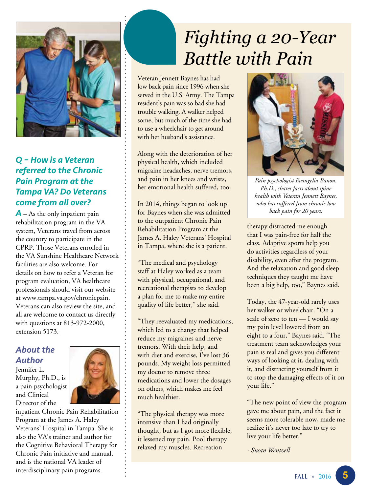

#### *Q – How is a Veteran referred to the Chronic Pain Program at the Tampa VA? Do Veterans come from all over?*

*A* – As the only inpatient pain rehabilitation program in the VA system, Veterans travel from across the country to participate in the CPRP. Those Veterans enrolled in the VA Sunshine Healthcare Network facilities are also welcome. For details on how to refer a Veteran for program evaluation, VA healthcare professionals should visit our website at [www.tampa.va.gov/chronicpain](http://www.tampa.va.gov/chronicpain). Veterans can also review the site, and all are welcome to contact us directly with questions at 813-972-2000, extension 5173.

#### *About the Author*

Jennifer L. Murphy, Ph.D., is a pain psychologist and Clinical Director of the



inpatient Chronic Pain Rehabilitation Program at the James A. Haley Veterans' Hospital in Tampa. She is also the VA's trainer and author for the Cognitive Behavioral Therapy for Chronic Pain initiative and manual, and is the national VA leader of interdisciplinary pain programs.

## *Fighting a 20-Year Battle with Pain*

Veteran Jennett Baynes has had low back pain since 1996 when she served in the U.S. Army. The Tampa resident's pain was so bad she had trouble walking. A walker helped some, but much of the time she had to use a wheelchair to get around with her husband's assistance.

Along with the deterioration of her physical health, which included migraine headaches, nerve tremors, and pain in her knees and wrists, her emotional health suffered, too.

In 2014, things began to look up for Baynes when she was admitted to the outpatient Chronic Pain Rehabilitation Program at the James A. Haley Veterans' Hospital in Tampa, where she is a patient.

"The medical and psychology staff at Haley worked as a team with physical, occupational, and recreational therapists to develop a plan for me to make my entire quality of life better," she said.

"They reevaluated my medications, which led to a change that helped reduce my migraines and nerve tremors. With their help, and with diet and exercise, I've lost 36 pounds. My weight loss permitted my doctor to remove three medications and lower the dosages on others, which makes me feel much healthier.

"The physical therapy was more intensive than I had originally thought, but as I got more flexible, it lessened my pain. Pool therapy relaxed my muscles. Recreation



*Pain psychologist Evangelia Banou, Ph.D., shares facts about spine health with Veteran Jennett Baynes, who has suffered from chronic low back pain for 20 years.* 

therapy distracted me enough that I was pain-free for half the class. Adaptive sports help you do activities regardless of your disability, even after the program. And the relaxation and good sleep techniques they taught me have been a big help, too," Baynes said.

Today, the 47-year-old rarely uses her walker or wheelchair. "On a scale of zero to ten - I would say my pain level lowered from an eight to a four," Baynes said. "The treatment team acknowledges your pain is real and gives you different ways of looking at it, dealing with it, and distracting yourself from it to stop the damaging effects of it on your life."

"The new point of view the program gave me about pain, and the fact it seems more tolerable now, made me realize it's never too late to try to live your life better."

*- Susan Wentzell*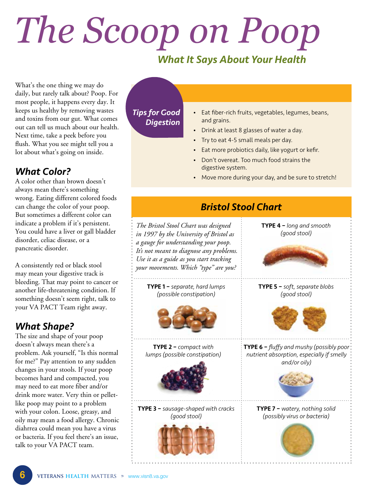## *The Scoop on Poop*

#### *What It Says About Your Health*

What's the one thing we may do daily, but rarely talk about? Poop. For most people, it happens every day. It keeps us healthy by removing wastes and toxins from our gut. What comes out can tell us much about our health. Next time, take a peek before you flush. What you see might tell you a lot about what's going on inside.

#### *What Color?*

A color other than brown doesn't always mean there's something wrong. Eating different colored foods can change the color of your poop. But sometimes a different color can indicate a problem if it's persistent. You could have a liver or gall bladder disorder, celiac disease, or a pancreatic disorder.

A consistently red or black stool may mean your digestive track is bleeding. That may point to cancer or another life-threatening condition. If something doesn't seem right, talk to your VA PACT Team right away.

#### *What Shape?*

The size and shape of your poop doesn't always mean there's a problem. Ask yourself, "Is this normal for me?" Pay attention to any sudden changes in your stools. If your poop becomes hard and compacted, you may need to eat more fiber and/or drink more water. Very thin or pelletlike poop may point to a problem with your colon. Loose, greasy, and oily may mean a food allergy. Chronic diahrrea could mean you have a virus or bacteria. If you feel there's an issue, talk to your VA PACT team.

*Tips for Good Digestion* 

- Eat fiber-rich fruits, vegetables, legumes, beans, and grains.
- Drink at least 8 glasses of water a day.
- • Try to eat 4-5 small meals per day.
- Eat more probiotics daily, like yogurt or kefir.
- Don't overeat. Too much food strains the digestive system.
- Move more during your day, and be sure to stretch!

#### *Bristol Stool Chart*

*The Bristol Stool Chart was designed* TYPE 4 – *long and smooth in 1997 by the University of Bristol as a gauge for understanding your poop. It's not meant to diagnose any problems. Use it as a guide as you start tracking your movements. Which "type" are you?* 



TYPE 2 – *compact with lumps (possible constipation)* 



TYPE 3 – *sausage-shaped with cracks* TYPE 7 – *watery, nothing solid* 





*(good stool)* 

TYPE 6 – *fluffy and mushy (possibly poor nutrient absorption, especially if smelly and/or oily)* 



*(good stool) (possibly virus or bacteria)* 

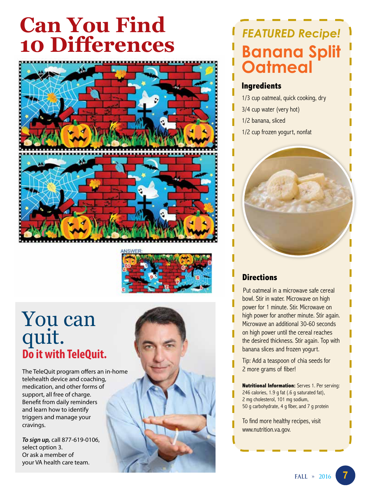## **Can You Find 10 Differences**





### You can quit. **Do it with TeleQuit.**

The TeleQuit program offers an in-home telehealth device and coaching, medication, and other forms of support, all free of charge. Benefit from daily reminders and learn how to identify triggers and manage your cravings.

*To sign up,* call 877-619-0106, select option 3. Or ask a member of your VA health care team.



### **Banana Split Oatmeal**  *FEATURED Recipe!*

#### **Ingredients**

- 1/3 cup oatmeal, quick cooking, dry
- 3/4 cup water (very hot)
- 1/2 banana, sliced
- 1/2 cup frozen yogurt, nonfat

#### **Directions**

Put oatmeal in a microwave safe cereal bowl. Stir in water. Microwave on high power for 1 minute. Stir. Microwave on high power for another minute. Stir again. Microwave an additional 30-60 seconds on high power until the cereal reaches the desired thickness. Stir again. Top with banana slices and frozen yogurt.

Tip: Add a teaspoon of chia seeds for 2 more grams of fiber!

**Nutritional Information:** Serves 1. Per serving: 246 calories, 1.9 g fat (.6 g saturated fat), 2 mg cholesterol, 101 mg sodium, 50 g carbohydrate, 4 g fiber, and 7 g protein

[www.nutrition.va.gov.](http://www.nutrition.va.gov)  To find more healthy recipes, visit

**7**